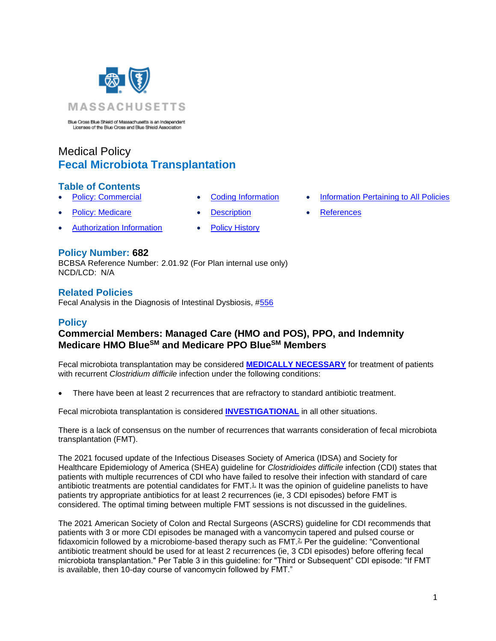

Blue Cross Blue Shield of Massachusetts is an Independent<br>Licensee of the Blue Cross and Blue Shield Association

# Medical Policy **Fecal Microbiota Transplantation**

### **Table of Contents**

- 
- **[Policy: Medicare](#page-0-0) [Description](#page-2-0) [References](#page-4-1)**
- [Authorization Information](#page-1-1) [Policy History](#page-4-2)
- 
- **[Policy: Commercial](#page-0-0) [Coding Information](#page-1-0) [Information Pertaining to All Policies](#page-4-0)** 
	-

#### **Policy Number: 682**

BCBSA Reference Number: 2.01.92 (For Plan internal use only) NCD/LCD: N/A

#### **Related Policies**

<span id="page-0-0"></span>Fecal Analysis in the Diagnosis of Intestinal Dysbiosis, [#556](https://www.bluecrossma.org/medical-policies/sites/g/files/csphws2091/files/acquiadam-assets/556%20Fecal%20Analysis%20in%20the%20Diagnosis%20of%20Intestinal%20Dysbiosis%20prn.pdf)

### **Policy**

# **Commercial Members: Managed Care (HMO and POS), PPO, and Indemnity Medicare HMO BlueSM and Medicare PPO BlueSM Members**

Fecal microbiota transplantation may be considered **[MEDICALLY NECESSARY](https://www.bluecrossma.org/medical-policies/sites/g/files/csphws2091/files/acquiadam-assets/Definition%20of%20Med%20Nec%20Inv%20Not%20Med%20Nec%20prn.pdf#page=1)** for treatment of patients with recurrent *Clostridium difficile* infection under the following conditions:

• There have been at least 2 recurrences that are refractory to standard antibiotic treatment.

Fecal microbiota transplantation is considered **[INVESTIGATIONAL](https://www.bluecrossma.org/medical-policies/sites/g/files/csphws2091/files/acquiadam-assets/Definition%20of%20Med%20Nec%20Inv%20Not%20Med%20Nec%20prn.pdf#page=1)** in all other situations.

There is a lack of consensus on the number of recurrences that warrants consideration of fecal microbiota transplantation (FMT).

The 2021 focused update of the Infectious Diseases Society of America (IDSA) and Society for Healthcare Epidemiology of America (SHEA) guideline for *Clostridioides difficile* infection (CDI) states that patients with multiple recurrences of CDI who have failed to resolve their infection with standard of care antibiotic treatments are potential candidates for  $FMT<sup>1</sup>$  It was the opinion of quideline panelists to have patients try appropriate antibiotics for at least 2 recurrences (ie, 3 CDI episodes) before FMT is considered. The optimal timing between multiple FMT sessions is not discussed in the guidelines.

The 2021 American Society of Colon and Rectal Surgeons (ASCRS) guideline for CDI recommends that patients with 3 or more CDI episodes be managed with a vancomycin tapered and pulsed course or fidaxomicin followed by a microbiome-based therapy such as FMT.<sup>2</sup>. Per the quideline: "Conventional antibiotic treatment should be used for at least 2 recurrences (ie, 3 CDI episodes) before offering fecal microbiota transplantation." Per Table 3 in this guideline: for "Third or Subsequent" CDI episode: "If FMT is available, then 10-day course of vancomycin followed by FMT."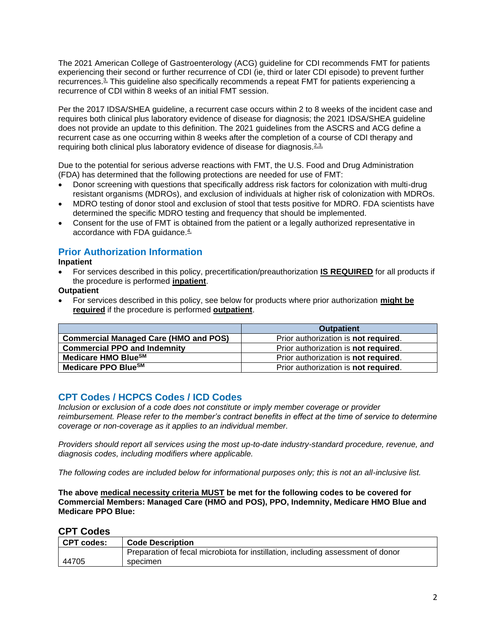The 2021 American College of Gastroenterology (ACG) guideline for CDI recommends FMT for patients experiencing their second or further recurrence of CDI (ie, third or later CDI episode) to prevent further recurrences.<sup>3</sup> This guideline also specifically recommends a repeat FMT for patients experiencing a recurrence of CDI within 8 weeks of an initial FMT session.

Per the 2017 IDSA/SHEA guideline, a recurrent case occurs within 2 to 8 weeks of the incident case and requires both clinical plus laboratory evidence of disease for diagnosis; the 2021 IDSA/SHEA guideline does not provide an update to this definition. The 2021 guidelines from the ASCRS and ACG define a recurrent case as one occurring within 8 weeks after the completion of a course of CDI therapy and requiring both clinical plus laboratory evidence of disease for diagnosis. $2.3$ ,

Due to the potential for serious adverse reactions with FMT, the U.S. Food and Drug Administration (FDA) has determined that the following protections are needed for use of FMT:

- Donor screening with questions that specifically address risk factors for colonization with multi-drug resistant organisms (MDROs), and exclusion of individuals at higher risk of colonization with MDROs.
- MDRO testing of donor stool and exclusion of stool that tests positive for MDRO. FDA scientists have determined the specific MDRO testing and frequency that should be implemented.
- Consent for the use of FMT is obtained from the patient or a legally authorized representative in accordance with FDA guidance.<sup>4</sup>

# <span id="page-1-1"></span>**Prior Authorization Information**

#### **Inpatient**

• For services described in this policy, precertification/preauthorization **IS REQUIRED** for all products if the procedure is performed **inpatient**.

**Outpatient**

• For services described in this policy, see below for products where prior authorization **might be required** if the procedure is performed **outpatient**.

|                                              | <b>Outpatient</b>                            |
|----------------------------------------------|----------------------------------------------|
| <b>Commercial Managed Care (HMO and POS)</b> | Prior authorization is not required.         |
| <b>Commercial PPO and Indemnity</b>          | Prior authorization is not required.         |
| Medicare HMO BlueSM                          | Prior authorization is not required.         |
| Medicare PPO BlueSM                          | Prior authorization is <b>not required</b> . |

# <span id="page-1-0"></span>**CPT Codes / HCPCS Codes / ICD Codes**

*Inclusion or exclusion of a code does not constitute or imply member coverage or provider reimbursement. Please refer to the member's contract benefits in effect at the time of service to determine coverage or non-coverage as it applies to an individual member.* 

*Providers should report all services using the most up-to-date industry-standard procedure, revenue, and diagnosis codes, including modifiers where applicable.*

*The following codes are included below for informational purposes only; this is not an all-inclusive list.*

**The above medical necessity criteria MUST be met for the following codes to be covered for Commercial Members: Managed Care (HMO and POS), PPO, Indemnity, Medicare HMO Blue and Medicare PPO Blue:**

### **CPT Codes**

| CPT codes: | <b>Code Description</b>                                                         |
|------------|---------------------------------------------------------------------------------|
|            | Preparation of fecal microbiota for instillation, including assessment of donor |
| 44705      | specimen                                                                        |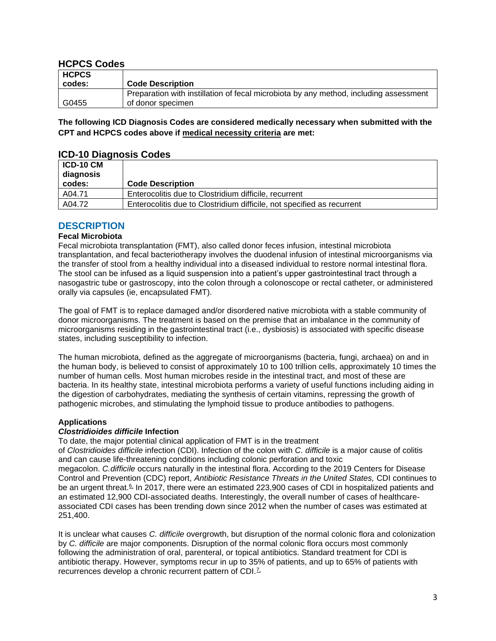### **HCPCS Codes**

| <b>HCPCS</b> |                                                                                       |
|--------------|---------------------------------------------------------------------------------------|
| codes:       | <b>Code Description</b>                                                               |
|              | Preparation with instillation of fecal microbiota by any method, including assessment |
| G0455        | of donor specimen                                                                     |

**The following ICD Diagnosis Codes are considered medically necessary when submitted with the CPT and HCPCS codes above if medical necessity criteria are met:**

### **ICD-10 Diagnosis Codes**

| <b>ICD-10 CM</b><br>diagnosis<br>codes: | <b>Code Description</b>                                                |
|-----------------------------------------|------------------------------------------------------------------------|
| A04.71                                  | Enterocolitis due to Clostridium difficile, recurrent                  |
| A04.72                                  | Enterocolitis due to Clostridium difficile, not specified as recurrent |

### <span id="page-2-0"></span>**DESCRIPTION**

#### **Fecal Microbiota**

Fecal microbiota transplantation (FMT), also called donor feces infusion, intestinal microbiota transplantation, and fecal bacteriotherapy involves the duodenal infusion of intestinal microorganisms via the transfer of stool from a healthy individual into a diseased individual to restore normal intestinal flora. The stool can be infused as a liquid suspension into a patient's upper gastrointestinal tract through a nasogastric tube or gastroscopy, into the colon through a colonoscope or rectal catheter, or administered orally via capsules (ie, encapsulated FMT).

The goal of FMT is to replace damaged and/or disordered native microbiota with a stable community of donor microorganisms. The treatment is based on the premise that an imbalance in the community of microorganisms residing in the gastrointestinal tract (i.e., dysbiosis) is associated with specific disease states, including susceptibility to infection.

The human microbiota, defined as the aggregate of microorganisms (bacteria, fungi, archaea) on and in the human body, is believed to consist of approximately 10 to 100 trillion cells, approximately 10 times the number of human cells. Most human microbes reside in the intestinal tract, and most of these are bacteria. In its healthy state, intestinal microbiota performs a variety of useful functions including aiding in the digestion of carbohydrates, mediating the synthesis of certain vitamins, repressing the growth of pathogenic microbes, and stimulating the lymphoid tissue to produce antibodies to pathogens.

#### **Applications**

#### *Clostridioides difficile* **Infection**

To date, the major potential clinical application of FMT is in the treatment

of *Clostridioides difficile* infection (CDI). Infection of the colon with *C. difficile* is a major cause of colitis and can cause life-threatening conditions including colonic perforation and toxic megacolon. *C.difficile* occurs naturally in the intestinal flora. According to the 2019 Centers for Disease Control and Prevention (CDC) report, *Antibiotic Resistance Threats in the United States,* CDI continues to be an urgent threat.<sup>6</sup> In 2017, there were an estimated 223,900 cases of CDI in hospitalized patients and an estimated 12,900 CDI-associated deaths. Interestingly, the overall number of cases of healthcareassociated CDI cases has been trending down since 2012 when the number of cases was estimated at 251,400.

It is unclear what causes *C. difficile* overgrowth, but disruption of the normal colonic flora and colonization by *C. difficile* are major components. Disruption of the normal colonic flora occurs most commonly following the administration of oral, parenteral, or topical antibiotics. Standard treatment for CDI is antibiotic therapy. However, symptoms recur in up to 35% of patients, and up to 65% of patients with recurrences develop a chronic recurrent pattern of CDI.<sup>7</sup>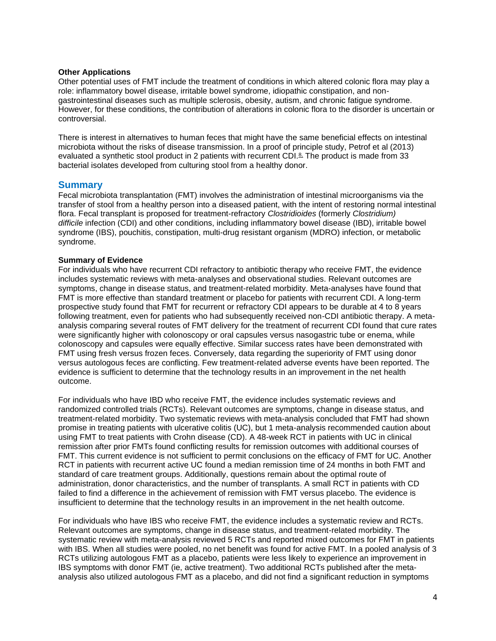#### **Other Applications**

Other potential uses of FMT include the treatment of conditions in which altered colonic flora may play a role: inflammatory bowel disease, irritable bowel syndrome, idiopathic constipation, and nongastrointestinal diseases such as multiple sclerosis, obesity, autism, and chronic fatigue syndrome. However, for these conditions, the contribution of alterations in colonic flora to the disorder is uncertain or controversial.

There is interest in alternatives to human feces that might have the same beneficial effects on intestinal microbiota without the risks of disease transmission. In a proof of principle study, Petrof et al (2013) evaluated a synthetic stool product in 2 patients with recurrent CDI. $\frac{8}{5}$  The product is made from 33 bacterial isolates developed from culturing stool from a healthy donor.

#### **Summary**

Fecal microbiota transplantation (FMT) involves the administration of intestinal microorganisms via the transfer of stool from a healthy person into a diseased patient, with the intent of restoring normal intestinal flora. Fecal transplant is proposed for treatment-refractory *Clostridioides* (formerly *Clostridium) difficile* infection (CDI) and other conditions, including inflammatory bowel disease (IBD), irritable bowel syndrome (IBS), pouchitis, constipation, multi-drug resistant organism (MDRO) infection, or metabolic syndrome.

#### **Summary of Evidence**

For individuals who have recurrent CDI refractory to antibiotic therapy who receive FMT, the evidence includes systematic reviews with meta-analyses and observational studies. Relevant outcomes are symptoms, change in disease status, and treatment-related morbidity. Meta-analyses have found that FMT is more effective than standard treatment or placebo for patients with recurrent CDI. A long-term prospective study found that FMT for recurrent or refractory CDI appears to be durable at 4 to 8 years following treatment, even for patients who had subsequently received non-CDI antibiotic therapy. A metaanalysis comparing several routes of FMT delivery for the treatment of recurrent CDI found that cure rates were significantly higher with colonoscopy or oral capsules versus nasogastric tube or enema, while colonoscopy and capsules were equally effective. Similar success rates have been demonstrated with FMT using fresh versus frozen feces. Conversely, data regarding the superiority of FMT using donor versus autologous feces are conflicting. Few treatment-related adverse events have been reported. The evidence is sufficient to determine that the technology results in an improvement in the net health outcome.

For individuals who have IBD who receive FMT, the evidence includes systematic reviews and randomized controlled trials (RCTs). Relevant outcomes are symptoms, change in disease status, and treatment-related morbidity. Two systematic reviews with meta-analysis concluded that FMT had shown promise in treating patients with ulcerative colitis (UC), but 1 meta-analysis recommended caution about using FMT to treat patients with Crohn disease (CD). A 48-week RCT in patients with UC in clinical remission after prior FMTs found conflicting results for remission outcomes with additional courses of FMT. This current evidence is not sufficient to permit conclusions on the efficacy of FMT for UC. Another RCT in patients with recurrent active UC found a median remission time of 24 months in both FMT and standard of care treatment groups. Additionally, questions remain about the optimal route of administration, donor characteristics, and the number of transplants. A small RCT in patients with CD failed to find a difference in the achievement of remission with FMT versus placebo. The evidence is insufficient to determine that the technology results in an improvement in the net health outcome.

For individuals who have IBS who receive FMT, the evidence includes a systematic review and RCTs. Relevant outcomes are symptoms, change in disease status, and treatment-related morbidity. The systematic review with meta-analysis reviewed 5 RCTs and reported mixed outcomes for FMT in patients with IBS. When all studies were pooled, no net benefit was found for active FMT. In a pooled analysis of 3 RCTs utilizing autologous FMT as a placebo, patients were less likely to experience an improvement in IBS symptoms with donor FMT (ie, active treatment). Two additional RCTs published after the metaanalysis also utilized autologous FMT as a placebo, and did not find a significant reduction in symptoms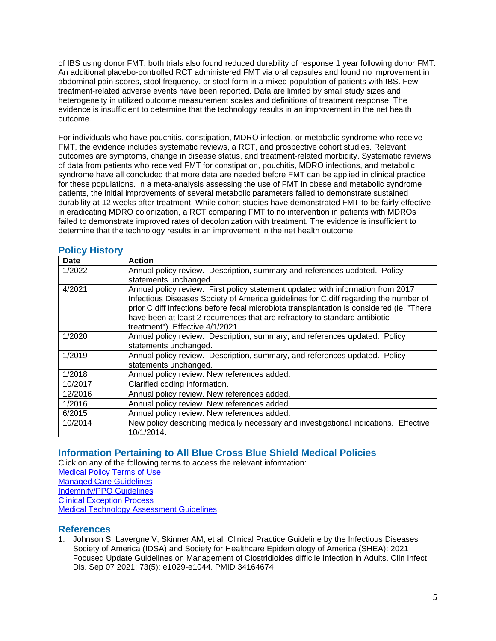of IBS using donor FMT; both trials also found reduced durability of response 1 year following donor FMT. An additional placebo-controlled RCT administered FMT via oral capsules and found no improvement in abdominal pain scores, stool frequency, or stool form in a mixed population of patients with IBS. Few treatment-related adverse events have been reported. Data are limited by small study sizes and heterogeneity in utilized outcome measurement scales and definitions of treatment response. The evidence is insufficient to determine that the technology results in an improvement in the net health outcome.

For individuals who have pouchitis, constipation, MDRO infection, or metabolic syndrome who receive FMT, the evidence includes systematic reviews, a RCT, and prospective cohort studies. Relevant outcomes are symptoms, change in disease status, and treatment-related morbidity. Systematic reviews of data from patients who received FMT for constipation, pouchitis, MDRO infections, and metabolic syndrome have all concluded that more data are needed before FMT can be applied in clinical practice for these populations. In a meta-analysis assessing the use of FMT in obese and metabolic syndrome patients, the initial improvements of several metabolic parameters failed to demonstrate sustained durability at 12 weeks after treatment. While cohort studies have demonstrated FMT to be fairly effective in eradicating MDRO colonization, a RCT comparing FMT to no intervention in patients with MDROs failed to demonstrate improved rates of decolonization with treatment. The evidence is insufficient to determine that the technology results in an improvement in the net health outcome.

### <span id="page-4-2"></span>**Policy History**

| Date    | <b>Action</b>                                                                                                                                                                                                                                                        |
|---------|----------------------------------------------------------------------------------------------------------------------------------------------------------------------------------------------------------------------------------------------------------------------|
| 1/2022  | Annual policy review. Description, summary and references updated. Policy                                                                                                                                                                                            |
|         | statements unchanged.                                                                                                                                                                                                                                                |
| 4/2021  | Annual policy review. First policy statement updated with information from 2017<br>Infectious Diseases Society of America guidelines for C.diff regarding the number of<br>prior C diff infections before fecal microbiota transplantation is considered (ie, "There |
|         | have been at least 2 recurrences that are refractory to standard antibiotic<br>treatment"). Effective 4/1/2021.                                                                                                                                                      |
| 1/2020  | Annual policy review. Description, summary, and references updated. Policy<br>statements unchanged.                                                                                                                                                                  |
| 1/2019  | Annual policy review. Description, summary, and references updated. Policy<br>statements unchanged.                                                                                                                                                                  |
| 1/2018  | Annual policy review. New references added.                                                                                                                                                                                                                          |
| 10/2017 | Clarified coding information.                                                                                                                                                                                                                                        |
| 12/2016 | Annual policy review. New references added.                                                                                                                                                                                                                          |
| 1/2016  | Annual policy review. New references added.                                                                                                                                                                                                                          |
| 6/2015  | Annual policy review. New references added.                                                                                                                                                                                                                          |
| 10/2014 | New policy describing medically necessary and investigational indications. Effective<br>10/1/2014.                                                                                                                                                                   |

# <span id="page-4-0"></span>**Information Pertaining to All Blue Cross Blue Shield Medical Policies**

Click on any of the following terms to access the relevant information: [Medical Policy Terms of Use](http://www.bluecrossma.org/medical-policies/sites/g/files/csphws2091/files/acquiadam-assets/Medical_Policy_Terms_of_Use_prn.pdf) [Managed Care Guidelines](http://www.bluecrossma.org/medical-policies/sites/g/files/csphws2091/files/acquiadam-assets/Managed_Care_Guidelines_prn.pdf) [Indemnity/PPO Guidelines](http://www.bluecrossma.org/medical-policies/sites/g/files/csphws2091/files/acquiadam-assets/Indemnity_and_PPO_Guidelines_prn.pdf) [Clinical Exception Process](http://www.bluecrossma.org/medical-policies/sites/g/files/csphws2091/files/acquiadam-assets/Clinical_Exception_Process_prn.pdf) [Medical Technology Assessment Guidelines](http://www.bluecrossma.org/medical-policies/sites/g/files/csphws2091/files/acquiadam-assets/Medical_Technology_Assessment_Guidelines_prn.pdf)

# <span id="page-4-1"></span>**References**

1. Johnson S, Lavergne V, Skinner AM, et al. Clinical Practice Guideline by the Infectious Diseases Society of America (IDSA) and Society for Healthcare Epidemiology of America (SHEA): 2021 Focused Update Guidelines on Management of Clostridioides difficile Infection in Adults. Clin Infect Dis. Sep 07 2021; 73(5): e1029-e1044. PMID 34164674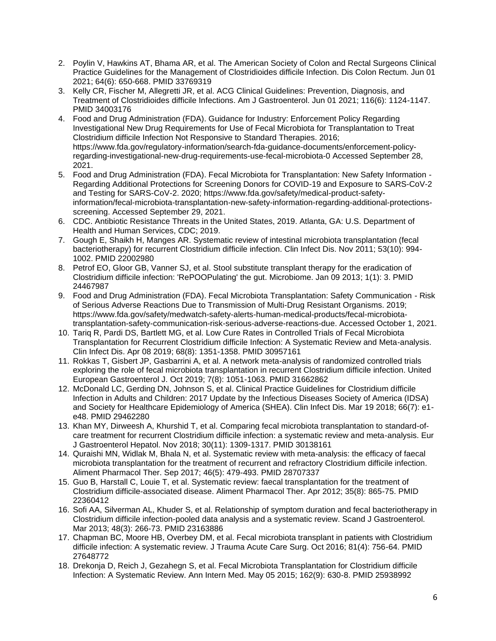- 2. Poylin V, Hawkins AT, Bhama AR, et al. The American Society of Colon and Rectal Surgeons Clinical Practice Guidelines for the Management of Clostridioides difficile Infection. Dis Colon Rectum. Jun 01 2021; 64(6): 650-668. PMID 33769319
- 3. Kelly CR, Fischer M, Allegretti JR, et al. ACG Clinical Guidelines: Prevention, Diagnosis, and Treatment of Clostridioides difficile Infections. Am J Gastroenterol. Jun 01 2021; 116(6): 1124-1147. PMID 34003176
- 4. Food and Drug Administration (FDA). Guidance for Industry: Enforcement Policy Regarding Investigational New Drug Requirements for Use of Fecal Microbiota for Transplantation to Treat Clostridium difficile Infection Not Responsive to Standard Therapies. 2016; https://www.fda.gov/regulatory-information/search-fda-guidance-documents/enforcement-policyregarding-investigational-new-drug-requirements-use-fecal-microbiota-0 Accessed September 28, 2021.
- 5. Food and Drug Administration (FDA). Fecal Microbiota for Transplantation: New Safety Information Regarding Additional Protections for Screening Donors for COVID-19 and Exposure to SARS-CoV-2 and Testing for SARS-CoV-2. 2020; https://www.fda.gov/safety/medical-product-safetyinformation/fecal-microbiota-transplantation-new-safety-information-regarding-additional-protectionsscreening. Accessed September 29, 2021.
- 6. CDC. Antibiotic Resistance Threats in the United States, 2019. Atlanta, GA: U.S. Department of Health and Human Services, CDC; 2019.
- 7. Gough E, Shaikh H, Manges AR. Systematic review of intestinal microbiota transplantation (fecal bacteriotherapy) for recurrent Clostridium difficile infection. Clin Infect Dis. Nov 2011; 53(10): 994- 1002. PMID 22002980
- 8. Petrof EO, Gloor GB, Vanner SJ, et al. Stool substitute transplant therapy for the eradication of Clostridium difficile infection: 'RePOOPulating' the gut. Microbiome. Jan 09 2013; 1(1): 3. PMID 24467987
- 9. Food and Drug Administration (FDA). Fecal Microbiota Transplantation: Safety Communication Risk of Serious Adverse Reactions Due to Transmission of Multi-Drug Resistant Organisms. 2019; https://www.fda.gov/safety/medwatch-safety-alerts-human-medical-products/fecal-microbiotatransplantation-safety-communication-risk-serious-adverse-reactions-due. Accessed October 1, 2021.
- 10. Tariq R, Pardi DS, Bartlett MG, et al. Low Cure Rates in Controlled Trials of Fecal Microbiota Transplantation for Recurrent Clostridium difficile Infection: A Systematic Review and Meta-analysis. Clin Infect Dis. Apr 08 2019; 68(8): 1351-1358. PMID 30957161
- 11. Rokkas T, Gisbert JP, Gasbarrini A, et al. A network meta-analysis of randomized controlled trials exploring the role of fecal microbiota transplantation in recurrent Clostridium difficile infection. United European Gastroenterol J. Oct 2019; 7(8): 1051-1063. PMID 31662862
- 12. McDonald LC, Gerding DN, Johnson S, et al. Clinical Practice Guidelines for Clostridium difficile Infection in Adults and Children: 2017 Update by the Infectious Diseases Society of America (IDSA) and Society for Healthcare Epidemiology of America (SHEA). Clin Infect Dis. Mar 19 2018; 66(7): e1 e48. PMID 29462280
- 13. Khan MY, Dirweesh A, Khurshid T, et al. Comparing fecal microbiota transplantation to standard-ofcare treatment for recurrent Clostridium difficile infection: a systematic review and meta-analysis. Eur J Gastroenterol Hepatol. Nov 2018; 30(11): 1309-1317. PMID 30138161
- 14. Quraishi MN, Widlak M, Bhala N, et al. Systematic review with meta-analysis: the efficacy of faecal microbiota transplantation for the treatment of recurrent and refractory Clostridium difficile infection. Aliment Pharmacol Ther. Sep 2017; 46(5): 479-493. PMID 28707337
- 15. Guo B, Harstall C, Louie T, et al. Systematic review: faecal transplantation for the treatment of Clostridium difficile-associated disease. Aliment Pharmacol Ther. Apr 2012; 35(8): 865-75. PMID 22360412
- 16. Sofi AA, Silverman AL, Khuder S, et al. Relationship of symptom duration and fecal bacteriotherapy in Clostridium difficile infection-pooled data analysis and a systematic review. Scand J Gastroenterol. Mar 2013; 48(3): 266-73. PMID 23163886
- 17. Chapman BC, Moore HB, Overbey DM, et al. Fecal microbiota transplant in patients with Clostridium difficile infection: A systematic review. J Trauma Acute Care Surg. Oct 2016; 81(4): 756-64. PMID 27648772
- 18. Drekonja D, Reich J, Gezahegn S, et al. Fecal Microbiota Transplantation for Clostridium difficile Infection: A Systematic Review. Ann Intern Med. May 05 2015; 162(9): 630-8. PMID 25938992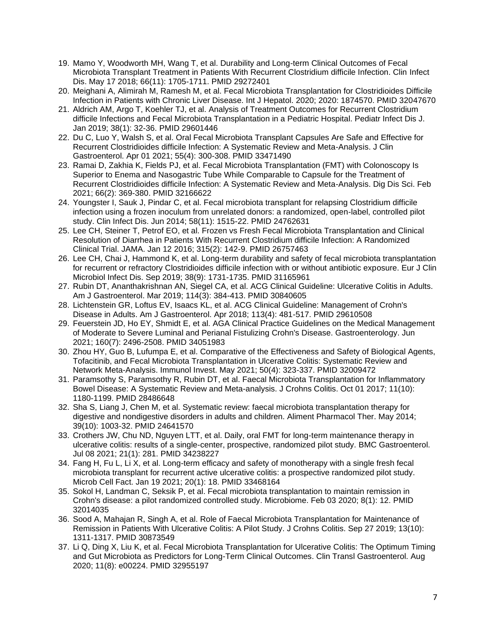- 19. Mamo Y, Woodworth MH, Wang T, et al. Durability and Long-term Clinical Outcomes of Fecal Microbiota Transplant Treatment in Patients With Recurrent Clostridium difficile Infection. Clin Infect Dis. May 17 2018; 66(11): 1705-1711. PMID 29272401
- 20. Meighani A, Alimirah M, Ramesh M, et al. Fecal Microbiota Transplantation for Clostridioides Difficile Infection in Patients with Chronic Liver Disease. Int J Hepatol. 2020; 2020: 1874570. PMID 32047670
- 21. Aldrich AM, Argo T, Koehler TJ, et al. Analysis of Treatment Outcomes for Recurrent Clostridium difficile Infections and Fecal Microbiota Transplantation in a Pediatric Hospital. Pediatr Infect Dis J. Jan 2019; 38(1): 32-36. PMID 29601446
- 22. Du C, Luo Y, Walsh S, et al. Oral Fecal Microbiota Transplant Capsules Are Safe and Effective for Recurrent Clostridioides difficile Infection: A Systematic Review and Meta-Analysis. J Clin Gastroenterol. Apr 01 2021; 55(4): 300-308. PMID 33471490
- 23. Ramai D, Zakhia K, Fields PJ, et al. Fecal Microbiota Transplantation (FMT) with Colonoscopy Is Superior to Enema and Nasogastric Tube While Comparable to Capsule for the Treatment of Recurrent Clostridioides difficile Infection: A Systematic Review and Meta-Analysis. Dig Dis Sci. Feb 2021; 66(2): 369-380. PMID 32166622
- 24. Youngster I, Sauk J, Pindar C, et al. Fecal microbiota transplant for relapsing Clostridium difficile infection using a frozen inoculum from unrelated donors: a randomized, open-label, controlled pilot study. Clin Infect Dis. Jun 2014; 58(11): 1515-22. PMID 24762631
- 25. Lee CH, Steiner T, Petrof EO, et al. Frozen vs Fresh Fecal Microbiota Transplantation and Clinical Resolution of Diarrhea in Patients With Recurrent Clostridium difficile Infection: A Randomized Clinical Trial. JAMA. Jan 12 2016; 315(2): 142-9. PMID 26757463
- 26. Lee CH, Chai J, Hammond K, et al. Long-term durability and safety of fecal microbiota transplantation for recurrent or refractory Clostridioides difficile infection with or without antibiotic exposure. Eur J Clin Microbiol Infect Dis. Sep 2019; 38(9): 1731-1735. PMID 31165961
- 27. Rubin DT, Ananthakrishnan AN, Siegel CA, et al. ACG Clinical Guideline: Ulcerative Colitis in Adults. Am J Gastroenterol. Mar 2019; 114(3): 384-413. PMID 30840605
- 28. Lichtenstein GR, Loftus EV, Isaacs KL, et al. ACG Clinical Guideline: Management of Crohn's Disease in Adults. Am J Gastroenterol. Apr 2018; 113(4): 481-517. PMID 29610508
- 29. Feuerstein JD, Ho EY, Shmidt E, et al. AGA Clinical Practice Guidelines on the Medical Management of Moderate to Severe Luminal and Perianal Fistulizing Crohn's Disease. Gastroenterology. Jun 2021; 160(7): 2496-2508. PMID 34051983
- 30. Zhou HY, Guo B, Lufumpa E, et al. Comparative of the Effectiveness and Safety of Biological Agents, Tofacitinib, and Fecal Microbiota Transplantation in Ulcerative Colitis: Systematic Review and Network Meta-Analysis. Immunol Invest. May 2021; 50(4): 323-337. PMID 32009472
- 31. Paramsothy S, Paramsothy R, Rubin DT, et al. Faecal Microbiota Transplantation for Inflammatory Bowel Disease: A Systematic Review and Meta-analysis. J Crohns Colitis. Oct 01 2017; 11(10): 1180-1199. PMID 28486648
- 32. Sha S, Liang J, Chen M, et al. Systematic review: faecal microbiota transplantation therapy for digestive and nondigestive disorders in adults and children. Aliment Pharmacol Ther. May 2014; 39(10): 1003-32. PMID 24641570
- 33. Crothers JW, Chu ND, Nguyen LTT, et al. Daily, oral FMT for long-term maintenance therapy in ulcerative colitis: results of a single-center, prospective, randomized pilot study. BMC Gastroenterol. Jul 08 2021; 21(1): 281. PMID 34238227
- 34. Fang H, Fu L, Li X, et al. Long-term efficacy and safety of monotherapy with a single fresh fecal microbiota transplant for recurrent active ulcerative colitis: a prospective randomized pilot study. Microb Cell Fact. Jan 19 2021; 20(1): 18. PMID 33468164
- 35. Sokol H, Landman C, Seksik P, et al. Fecal microbiota transplantation to maintain remission in Crohn's disease: a pilot randomized controlled study. Microbiome. Feb 03 2020; 8(1): 12. PMID 32014035
- 36. Sood A, Mahajan R, Singh A, et al. Role of Faecal Microbiota Transplantation for Maintenance of Remission in Patients With Ulcerative Colitis: A Pilot Study. J Crohns Colitis. Sep 27 2019; 13(10): 1311-1317. PMID 30873549
- 37. Li Q, Ding X, Liu K, et al. Fecal Microbiota Transplantation for Ulcerative Colitis: The Optimum Timing and Gut Microbiota as Predictors for Long-Term Clinical Outcomes. Clin Transl Gastroenterol. Aug 2020; 11(8): e00224. PMID 32955197